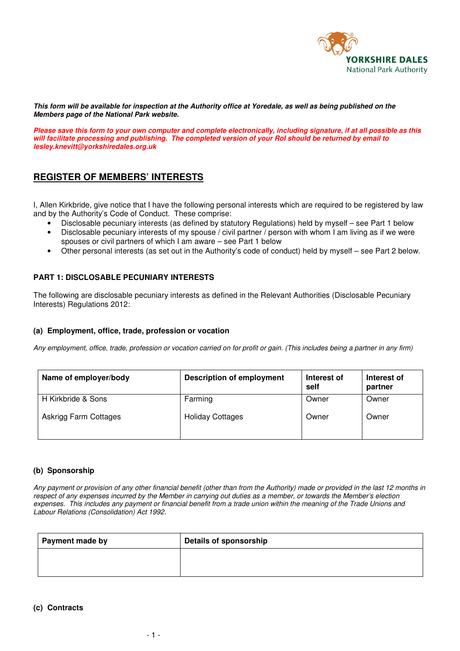

**This form will be available for inspection at the Authority office at Yoredale, as well as being published on the Members page of the National Park website.** 

**Please save this form to your own computer and complete electronically, including signature, if at all possible as this will facilitate processing and publishing. The completed version of your RoI should be returned by email to lesley.knevitt@yorkshiredales.org.uk** 

# **REGISTER OF MEMBERS' INTERESTS**

I, Allen Kirkbride, give notice that I have the following personal interests which are required to be registered by law and by the Authority's Code of Conduct. These comprise:

- Disclosable pecuniary interests (as defined by statutory Regulations) held by myself see Part 1 below
- Disclosable pecuniary interests of my spouse / civil partner / person with whom I am living as if we were spouses or civil partners of which I am aware – see Part 1 below
- Other personal interests (as set out in the Authority's code of conduct) held by myself see Part 2 below.

## **PART 1: DISCLOSABLE PECUNIARY INTERESTS**

The following are disclosable pecuniary interests as defined in the Relevant Authorities (Disclosable Pecuniary Interests) Regulations 2012:

## **(a) Employment, office, trade, profession or vocation**

*Any employment, office, trade, profession or vocation carried on for profit or gain. (This includes being a partner in any firm)* 

| Name of employer/body | <b>Description of employment</b> | Interest of<br>self | Interest of<br>partner |
|-----------------------|----------------------------------|---------------------|------------------------|
| H Kirkbride & Sons    | Farming                          | Owner               | Owner                  |
| Askrigg Farm Cottages | <b>Holiday Cottages</b>          | Owner               | Owner                  |

#### **(b) Sponsorship**

*Any payment or provision of any other financial benefit (other than from the Authority) made or provided in the last 12 months in respect of any expenses incurred by the Member in carrying out duties as a member, or towards the Member's election expenses. This includes any payment or financial benefit from a trade union within the meaning of the Trade Unions and Labour Relations (Consolidation) Act 1992.* 

| Payment made by | <b>Details of sponsorship</b> |
|-----------------|-------------------------------|
|                 |                               |
|                 |                               |

# **(c) Contracts**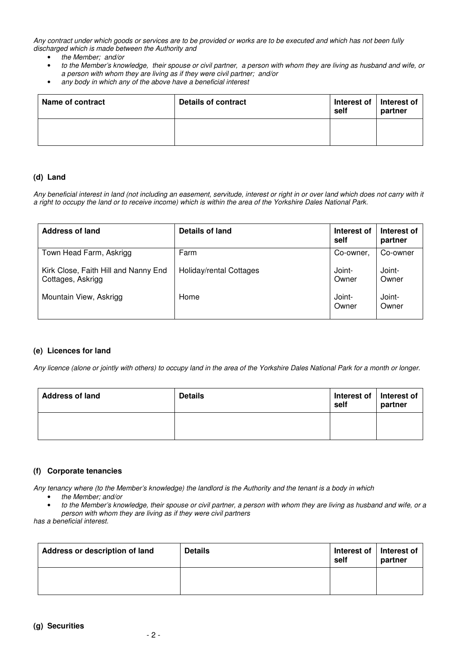*Any contract under which goods or services are to be provided or works are to be executed and which has not been fully discharged which is made between the Authority and* 

- *the Member; and/or*
- *to the Member's knowledge, their spouse or civil partner, a person with whom they are living as husband and wife, or a person with whom they are living as if they were civil partner; and/or*
- *any body in which any of the above have a beneficial interest*

| Name of contract | Details of contract | Interest of<br>self | Interest of<br>partner |
|------------------|---------------------|---------------------|------------------------|
|                  |                     |                     |                        |

#### **(d) Land**

*Any beneficial interest in land (not including an easement, servitude, interest or right in or over land which does not carry with it a right to occupy the land or to receive income) which is within the area of the Yorkshire Dales National Park.* 

| <b>Address of land</b>                                    | Details of land         | Interest of<br>self | Interest of<br>partner |
|-----------------------------------------------------------|-------------------------|---------------------|------------------------|
| Town Head Farm, Askrigg                                   | Farm                    | Co-owner,           | Co-owner               |
| Kirk Close, Faith Hill and Nanny End<br>Cottages, Askrigg | Holiday/rental Cottages | Joint-<br>Owner     | Joint-<br>Owner        |
| Mountain View, Askrigg                                    | Home                    | Joint-<br>Owner     | Joint-<br>Owner        |

#### **(e) Licences for land**

*Any licence (alone or jointly with others) to occupy land in the area of the Yorkshire Dales National Park for a month or longer.* 

| <b>Address of land</b> | <b>Details</b> | Interest of   Interest of<br>self | partner |
|------------------------|----------------|-----------------------------------|---------|
|                        |                |                                   |         |

## **(f) Corporate tenancies**

*Any tenancy where (to the Member's knowledge) the landlord is the Authority and the tenant is a body in which* 

- *the Member; and/or*
- *to the Member's knowledge, their spouse or civil partner, a person with whom they are living as husband and wife, or a person with whom they are living as if they were civil partners*

*has a beneficial interest.* 

| Address or description of land | <b>Details</b> | Interest of<br>self | Interest of<br>partner |
|--------------------------------|----------------|---------------------|------------------------|
|                                |                |                     |                        |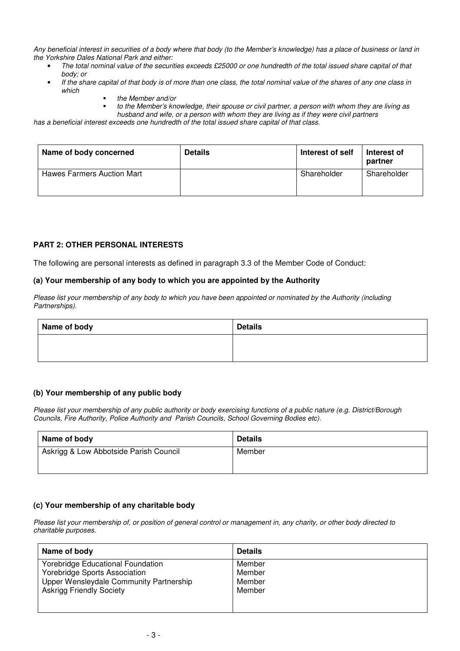*Any beneficial interest in securities of a body where that body (to the Member's knowledge) has a place of business or land in the Yorkshire Dales National Park and either:* 

- *The total nominal value of the securities exceeds £25000 or one hundredth of the total issued share capital of that body; or*
- *If the share capital of that body is of more than one class, the total nominal value of the shares of any one class in which* 
	- *the Member and/or* 
		- *to the Member's knowledge, their spouse or civil partner, a person with whom they are living as*
- *husband and wife, or a person with whom they are living as if they were civil partners*

*has a beneficial interest exceeds one hundredth of the total issued share capital of that class.* 

| Name of body concerned            | <b>Details</b> | Interest of self | Interest of<br>partner |
|-----------------------------------|----------------|------------------|------------------------|
| <b>Hawes Farmers Auction Mart</b> |                | Shareholder      | Shareholder            |

### **PART 2: OTHER PERSONAL INTERESTS**

The following are personal interests as defined in paragraph 3.3 of the Member Code of Conduct:

#### **(a) Your membership of any body to which you are appointed by the Authority**

*Please list your membership of any body to which you have been appointed or nominated by the Authority (including Partnerships).* 

| Name of body | <b>Details</b> |
|--------------|----------------|
|              |                |
|              |                |

#### **(b) Your membership of any public body**

*Please list your membership of any public authority or body exercising functions of a public nature (e.g. District/Borough Councils, Fire Authority, Police Authority and Parish Councils, School Governing Bodies etc).*

| Name of body                           | <b>Details</b> |
|----------------------------------------|----------------|
| Askrigg & Low Abbotside Parish Council | Member         |
|                                        |                |

#### **(c) Your membership of any charitable body**

*Please list your membership of, or position of general control or management in, any charity, or other body directed to charitable purposes.* 

| Name of body                             | <b>Details</b> |
|------------------------------------------|----------------|
| <b>Yorebridge Educational Foundation</b> | Member         |
| Yorebridge Sports Association            | Member         |
| Upper Wensleydale Community Partnership  | Member         |
| <b>Askrigg Friendly Society</b>          | Member         |
|                                          |                |